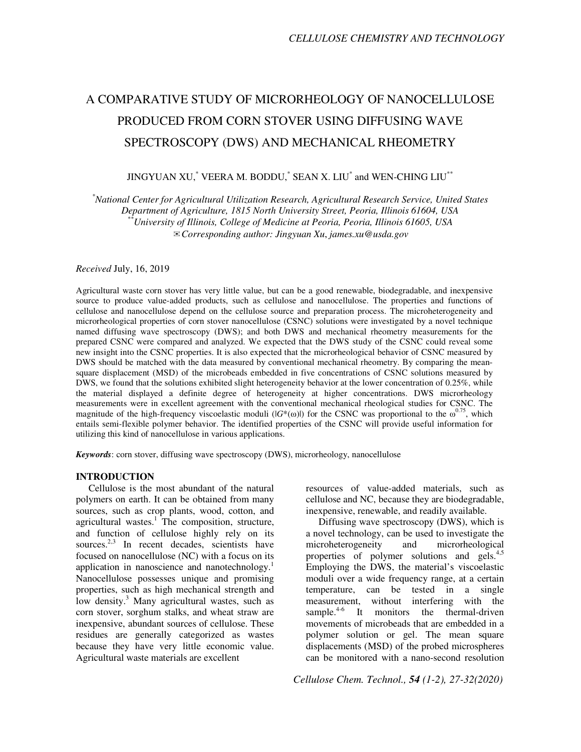# A COMPARATIVE STUDY OF MICRORHEOLOGY OF NANOCELLULOSE PRODUCED FROM CORN STOVER USING DIFFUSING WAVE SPECTROSCOPY (DWS) AND MECHANICAL RHEOMETRY

## JINGYUAN XU, $^{*}$  VEERA M. BODDU, $^{*}$  SEAN X. LIU $^{*}$  and WEN-CHING LIU $^{**}$

*\*National Center for Agricultural Utilization Research, Agricultural Research Service, United States Department of Agriculture, 1815 North University Street, Peoria, Illinois 61604, USA \*\*University of Illinois, College of Medicine at Peoria, Peoria, Illinois 61605, USA*  ✉*Corresponding author: Jingyuan Xu*, *james.xu@usda.gov* 

#### *Received* July, 16, 2019

Agricultural waste corn stover has very little value, but can be a good renewable, biodegradable, and inexpensive source to produce value-added products, such as cellulose and nanocellulose. The properties and functions of cellulose and nanocellulose depend on the cellulose source and preparation process. The microheterogeneity and microrheological properties of corn stover nanocellulose (CSNC) solutions were investigated by a novel technique named diffusing wave spectroscopy (DWS); and both DWS and mechanical rheometry measurements for the prepared CSNC were compared and analyzed. We expected that the DWS study of the CSNC could reveal some new insight into the CSNC properties. It is also expected that the microrheological behavior of CSNC measured by DWS should be matched with the data measured by conventional mechanical rheometry. By comparing the meansquare displacement (MSD) of the microbeads embedded in five concentrations of CSNC solutions measured by DWS, we found that the solutions exhibited slight heterogeneity behavior at the lower concentration of 0.25%, while the material displayed a definite degree of heterogeneity at higher concentrations. DWS microrheology measurements were in excellent agreement with the conventional mechanical rheological studies for CSNC. The magnitude of the high-frequency viscoelastic moduli  $(|G^*(\omega)|)$  for the CSNC was proportional to the  $\omega^{0.75}$ , which entails semi-flexible polymer behavior. The identified properties of the CSNC will provide useful information for utilizing this kind of nanocellulose in various applications.

*Keywords*: corn stover, diffusing wave spectroscopy (DWS), microrheology, nanocellulose

#### **INTRODUCTION**

Cellulose is the most abundant of the natural polymers on earth. It can be obtained from many sources, such as crop plants, wood, cotton, and agricultural wastes.<sup>1</sup> The composition, structure, and function of cellulose highly rely on its sources.<sup>2,3</sup> In recent decades, scientists have focused on nanocellulose (NC) with a focus on its application in nanoscience and nanotechnology.<sup>1</sup> Nanocellulose possesses unique and promising properties, such as high mechanical strength and low density.<sup>3</sup> Many agricultural wastes, such as corn stover, sorghum stalks, and wheat straw are inexpensive, abundant sources of cellulose. These residues are generally categorized as wastes because they have very little economic value. Agricultural waste materials are excellent

resources of value-added materials, such as cellulose and NC, because they are biodegradable, inexpensive, renewable, and readily available.

Diffusing wave spectroscopy (DWS), which is a novel technology, can be used to investigate the microheterogeneity and microrheological properties of polymer solutions and gels. $4.5$ Employing the DWS, the material's viscoelastic moduli over a wide frequency range, at a certain temperature, can be tested in a single measurement, without interfering with the sample.<sup>4-6</sup> It monitors the thermal-driven movements of microbeads that are embedded in a polymer solution or gel. The mean square displacements (MSD) of the probed microspheres can be monitored with a nano-second resolution

*Cellulose Chem. Technol., 54 (1-2), 27-32(2020)*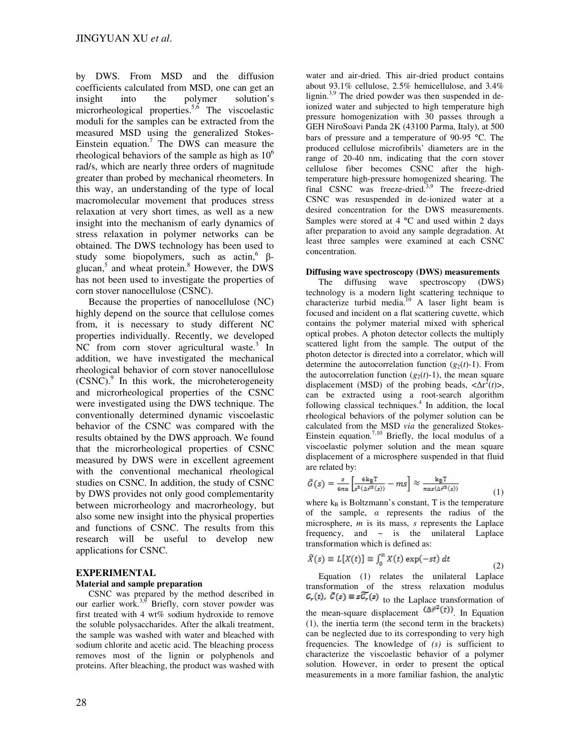by DWS. From MSD and the diffusion coefficients calculated from MSD, one can get an insight into the polymer solution's microrheological properties.<sup>5,6</sup> The viscoelastic moduli for the samples can be extracted from the measured MSD using the generalized Stokes-Einstein equation.<sup>7</sup> The DWS can measure the rheological behaviors of the sample as high as  $10<sup>6</sup>$ rad/s, which are nearly three orders of magnitude greater than probed by mechanical rheometers. In this way, an understanding of the type of local macromolecular movement that produces stress relaxation at very short times, as well as a new insight into the mechanism of early dynamics of stress relaxation in polymer networks can be obtained. The DWS technology has been used to study some biopolymers, such as actin,  $\beta$ glucan,<sup>5</sup> and wheat protein.<sup>8</sup> However, the DWS has not been used to investigate the properties of corn stover nanocellulose (CSNC).

Because the properties of nanocellulose (NC) highly depend on the source that cellulose comes from, it is necessary to study different NC properties individually. Recently, we developed NC from corn stover agricultural waste. $3$  In addition, we have investigated the mechanical rheological behavior of corn stover nanocellulose (CSNC).<sup>9</sup> In this work, the microheterogeneity and microrheological properties of the CSNC were investigated using the DWS technique. The conventionally determined dynamic viscoelastic behavior of the CSNC was compared with the results obtained by the DWS approach. We found that the microrheological properties of CSNC measured by DWS were in excellent agreement with the conventional mechanical rheological studies on CSNC. In addition, the study of CSNC by DWS provides not only good complementarity between microrheology and macrorheology, but also some new insight into the physical properties and functions of CSNC. The results from this research will be useful to develop new applications for CSNC.

### **EXPERIMENTAL**

#### **Material and sample preparation**

CSNC was prepared by the method described in our earlier work. $3,9$  Briefly, corn stover powder was first treated with 4 wt% sodium hydroxide to remove the soluble polysaccharides. After the alkali treatment, the sample was washed with water and bleached with sodium chlorite and acetic acid. The bleaching process removes most of the lignin or polyphenols and proteins. After bleaching, the product was washed with water and air-dried. This air-dried product contains about 93.1% cellulose, 2.5% hemicellulose, and 3.4% lignin.<sup>3,9</sup> The dried powder was then suspended in deionized water and subjected to high temperature high pressure homogenization with 30 passes through a GEH NiroSoavi Panda 2K (43100 Parma, Italy), at 500 bars of pressure and a temperature of 90-95 °C. The produced cellulose microfibrils' diameters are in the range of 20-40 nm, indicating that the corn stover cellulose fiber becomes CSNC after the hightemperature high-pressure homogenized shearing. The final CSNC was freeze-dried.<sup>3,9</sup> The freeze-dried CSNC was resuspended in de-ionized water at a desired concentration for the DWS measurements. Samples were stored at  $4^{\circ}$ C and used within 2 days after preparation to avoid any sample degradation. At least three samples were examined at each CSNC concentration.

#### **Diffusing wave spectroscopy (DWS) measurements**

The diffusing wave spectroscopy (DWS) technology is a modern light scattering technique to characterize turbid media.<sup>10</sup> A laser light beam is focused and incident on a flat scattering cuvette, which contains the polymer material mixed with spherical optical probes. A photon detector collects the multiply scattered light from the sample. The output of the photon detector is directed into a correlator, which will determine the autocorrelation function  $(g_2(t)-1)$ . From the autocorrelation function  $(g_2(t)-1)$ , the mean square displacement (MSD) of the probing beads,  $\langle \Delta r^2(t) \rangle$ , can be extracted using a root-search algorithm following classical techniques. $4$  In addition, the local rheological behaviors of the polymer solution can be calculated from the MSD *via* the generalized Stokes-Einstein equation.<sup>7,10</sup> Briefly, the local modulus of a viscoelastic polymer solution and the mean square displacement of a microsphere suspended in that fluid are related by:

$$
\tilde{G}(s) = \frac{s}{6\pi a} \left[ \frac{6\,\text{kg}\,\text{T}}{s^2(\Delta\dot{r}^2(s))} - ms \right] \approx \frac{\text{kg}\,\text{T}}{\pi a s \langle \Delta\dot{r}^2(s) \rangle} \tag{1}
$$

where  $k_B$  is Boltzmann's constant, T is the temperature of the sample,  $\alpha$  represents the radius of the microsphere, *m* is its mass, *s* represents the Laplace frequency, and  $\sim$  is the unilateral Laplace transformation which is defined as:

(2)

$$
\tilde{X}(s) \equiv L[X(t)] \equiv \int_0^\infty X(t) \exp(-st) dt
$$

Equation (1) relates the unilateral Laplace transformation of the stress relaxation modulus  $G_r(t)$ ,  $\tilde{G}(s) \equiv s\tilde{G}_r(s)$  to the Laplace transformation of the mean-square displacement  $(\Delta \vec{r}^2(t))$ . In Equation (1), the inertia term (the second term in the brackets) can be neglected due to its corresponding to very high frequencies. The knowledge of *(s)* is sufficient to characterize the viscoelastic behavior of a polymer solution. However, in order to present the optical measurements in a more familiar fashion, the analytic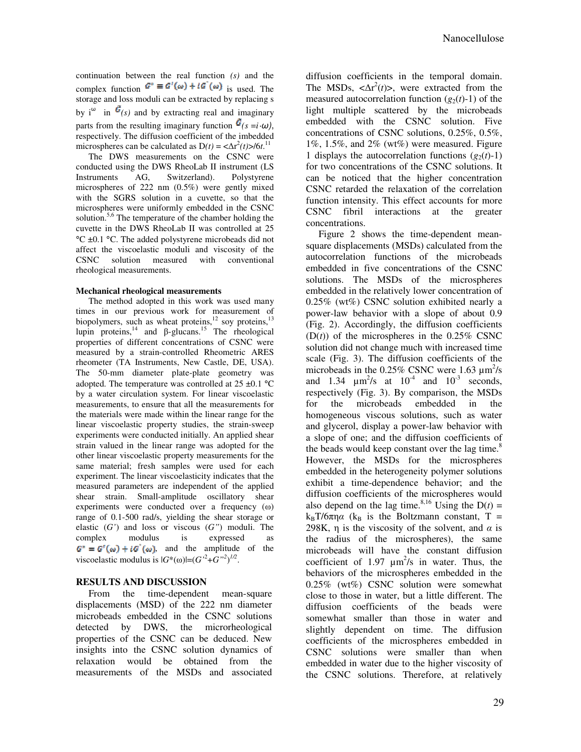continuation between the real function *(s)* and the complex function  $G^* \equiv G'(\omega) + iG'(\omega)$  is used. The storage and loss moduli can be extracted by replacing s by i<sup>ω</sup> in  $\mathcal{L}_{(s)}$  and by extracting real and imaginary parts from the resulting imaginary function  $\tilde{G}(s = i \cdot \omega)$ , respectively. The diffusion coefficient of the imbedded microspheres can be calculated as  $D(t) = \langle \Delta r^2(t) | 6t \rangle^{11}$ 

The DWS measurements on the CSNC were conducted using the DWS RheoLab II instrument (LS Instruments AG, Switzerland). Polystyrene microspheres of 222 nm (0.5%) were gently mixed with the SGRS solution in a cuvette, so that the microspheres were uniformly embedded in the CSNC solution.<sup>5,6</sup> The temperature of the chamber holding the cuvette in the DWS RheoLab II was controlled at 25 °C ±0.1 °C. The added polystyrene microbeads did not affect the viscoelastic moduli and viscosity of the CSNC solution measured with conventional rheological measurements.

#### **Mechanical rheological measurements**

The method adopted in this work was used many times in our previous work for measurement of biopolymers, such as wheat proteins,<sup>12</sup> soy proteins,<sup>13</sup> lupin proteins,<sup>14</sup> and  $\beta$ -glucans.<sup>15</sup> The rheological properties of different concentrations of CSNC were measured by a strain-controlled Rheometric ARES rheometer (TA Instruments, New Castle, DE, USA). The 50-mm diameter plate-plate geometry was adopted. The temperature was controlled at  $25 \pm 0.1$  °C by a water circulation system. For linear viscoelastic measurements, to ensure that all the measurements for the materials were made within the linear range for the linear viscoelastic property studies, the strain-sweep experiments were conducted initially. An applied shear strain valued in the linear range was adopted for the other linear viscoelastic property measurements for the same material; fresh samples were used for each experiment. The linear viscoelasticity indicates that the measured parameters are independent of the applied shear strain. Small-amplitude oscillatory shear experiments were conducted over a frequency (ω) range of 0.1-500 rad/s, yielding the shear storage or elastic (*G'*) and loss or viscous (*G"*) moduli. The complex modulus is expressed as  $G^* = G'(\omega) + iG'(\omega)$ , and the amplitude of the viscoelastic modulus is  $|G^*(\omega)| = (G^{2} + G^{2})^{1/2}$ .

### **RESULTS AND DISCUSSION**

From the time-dependent mean-square displacements (MSD) of the 222 nm diameter microbeads embedded in the CSNC solutions detected by DWS, the microrheological properties of the CSNC can be deduced. New insights into the CSNC solution dynamics of relaxation would be obtained from the measurements of the MSDs and associated diffusion coefficients in the temporal domain. The MSDs,  $\langle \Delta r^2(t) \rangle$ , were extracted from the measured autocorrelation function  $(g_2(t)-1)$  of the light multiple scattered by the microbeads embedded with the CSNC solution. Five concentrations of CSNC solutions, 0.25%, 0.5%, 1%, 1.5%, and 2% (wt%) were measured. Figure 1 displays the autocorrelation functions  $(g_2(t)-1)$ for two concentrations of the CSNC solutions. It can be noticed that the higher concentration CSNC retarded the relaxation of the correlation function intensity. This effect accounts for more CSNC fibril interactions at the greater concentrations.

Figure 2 shows the time-dependent meansquare displacements (MSDs) calculated from the autocorrelation functions of the microbeads embedded in five concentrations of the CSNC solutions. The MSDs of the microspheres embedded in the relatively lower concentration of  $0.25\%$  (wt%) CSNC solution exhibited nearly a power-law behavior with a slope of about 0.9 (Fig. 2). Accordingly, the diffusion coefficients  $(D(t))$  of the microspheres in the  $0.25\%$  CSNC solution did not change much with increased time scale (Fig. 3). The diffusion coefficients of the microbeads in the  $0.25\%$  CSNC were 1.63  $\mu$ m<sup>2</sup>/s and 1.34  $\mu$ m<sup>2</sup>/s at 10<sup>-4</sup> and 10<sup>-3</sup> seconds, respectively (Fig. 3). By comparison, the MSDs for the microbeads embedded in the homogeneous viscous solutions, such as water and glycerol, display a power-law behavior with a slope of one; and the diffusion coefficients of the beads would keep constant over the lag time. $8<sup>8</sup>$ However, the MSDs for the microspheres embedded in the heterogeneity polymer solutions exhibit a time-dependence behavior; and the diffusion coefficients of the microspheres would also depend on the lag time.<sup>8,16</sup> Using the  $D(t)$  =  $k_B T/6\pi \eta \alpha$  (k<sub>B</sub> is the Boltzmann constant, T = 298K,  $\eta$  is the viscosity of the solvent, and  $\alpha$  is the radius of the microspheres), the same microbeads will have the constant diffusion coefficient of 1.97  $\mu$ m<sup>2</sup>/s in water. Thus, the behaviors of the microspheres embedded in the 0.25% (wt%) CSNC solution were somewhat close to those in water, but a little different. The diffusion coefficients of the beads were somewhat smaller than those in water and slightly dependent on time. The diffusion coefficients of the microspheres embedded in CSNC solutions were smaller than when embedded in water due to the higher viscosity of the CSNC solutions. Therefore, at relatively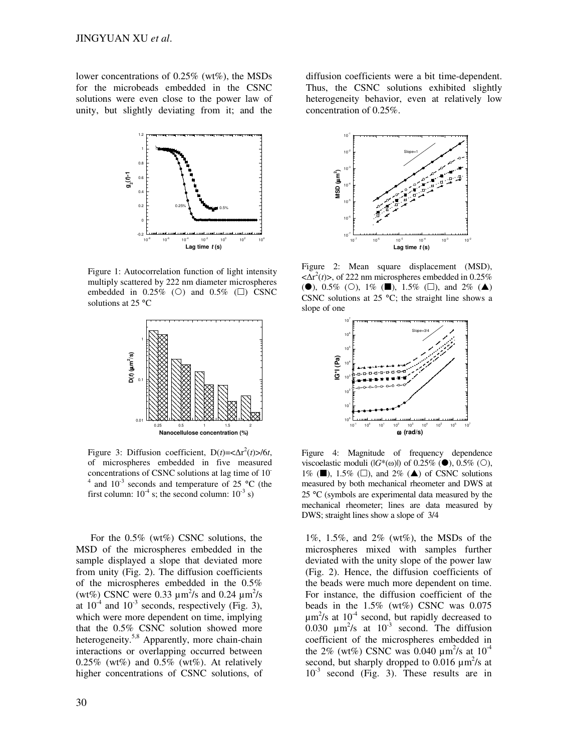lower concentrations of 0.25% (wt%), the MSDs for the microbeads embedded in the CSNC solutions were even close to the power law of unity, but slightly deviating from it; and the



Figure 1: Autocorrelation function of light intensity multiply scattered by 222 nm diameter microspheres embedded in  $0.25\%$  (O) and  $0.5\%$  ( $\square$ ) CSNC solutions at 25 °C



Figure 3: Diffusion coefficient,  $D(t) = \langle \Delta r^2(t) \rangle / 6t$ , of microspheres embedded in five measured concentrations of CSNC solutions at lag time of 10-  $4$  and 10<sup>-3</sup> seconds and temperature of 25 °C (the first column:  $10^{-4}$  s; the second column:  $10^{-3}$  s)

For the 0.5% (wt%) CSNC solutions, the MSD of the microspheres embedded in the sample displayed a slope that deviated more from unity (Fig. 2). The diffusion coefficients of the microspheres embedded in the 0.5% (wt%) CSNC were 0.33  $\mu$ m<sup>2</sup>/s and 0.24  $\mu$ m<sup>2</sup>/s at  $10^{-4}$  and  $10^{-3}$  seconds, respectively (Fig. 3), which were more dependent on time, implying that the 0.5% CSNC solution showed more heterogeneity.<sup>5,8</sup> Apparently, more chain-chain interactions or overlapping occurred between  $0.25\%$  (wt%) and  $0.5\%$  (wt%). At relatively higher concentrations of CSNC solutions, of

30

diffusion coefficients were a bit time-dependent. Thus, the CSNC solutions exhibited slightly heterogeneity behavior, even at relatively low concentration of 0.25%.



Figure 2: Mean square displacement (MSD),  $\langle \Delta r^2(t) \rangle$ , of 222 nm microspheres embedded in 0.25% ( $\bullet$ ), 0.5% ( $\circ$ ), 1% ( $\blacksquare$ ), 1.5% ( $\Box$ ), and 2% ( $\blacktriangle$ ) CSNC solutions at  $25 \text{ °C}$ ; the straight line shows a slope of one



Figure 4: Magnitude of frequency dependence viscoelastic moduli ( $|G^*(\omega)|$ ) of 0.25% ( $\bullet$ ), 0.5% ( $\circ$ ), 1% ( $\blacksquare$ ), 1.5% ( $\square$ ), and 2% ( $\blacktriangle$ ) of CSNC solutions measured by both mechanical rheometer and DWS at 25 °C (symbols are experimental data measured by the mechanical rheometer; lines are data measured by DWS; straight lines show a slope of 3/4

1%, 1.5%, and 2% (wt%), the MSDs of the microspheres mixed with samples further deviated with the unity slope of the power law (Fig. 2). Hence, the diffusion coefficients of the beads were much more dependent on time. For instance, the diffusion coefficient of the beads in the  $1.5\%$  (wt%) CSNC was 0.075  $\mu$ m<sup>2</sup>/s at 10<sup>-4</sup> second, but rapidly decreased to 0.030  $\mu$ m<sup>2</sup>/s at 10<sup>-3</sup> second. The diffusion coefficient of the microspheres embedded in the 2% (wt%) CSNC was 0.040  $\mu$ m<sup>2</sup>/s at 10<sup>-4</sup> second, but sharply dropped to  $0.016 \mu m^2/s$  at  $10^{-3}$  second (Fig. 3). These results are in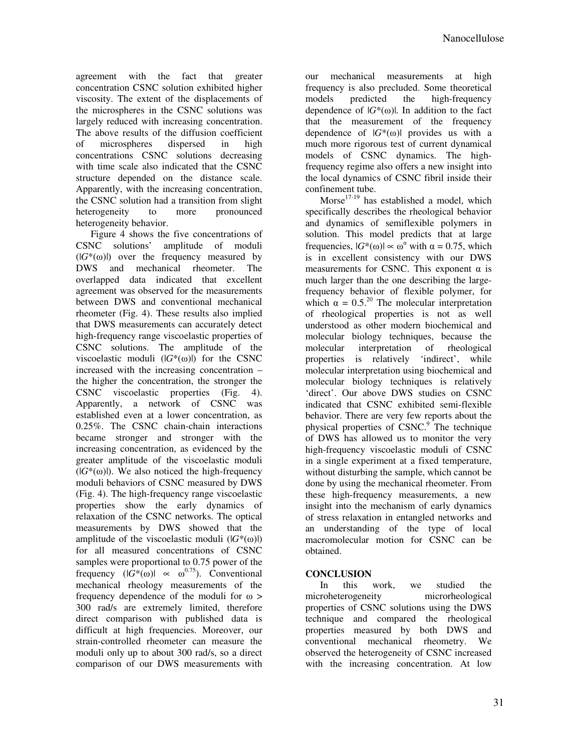agreement with the fact that greater concentration CSNC solution exhibited higher viscosity. The extent of the displacements of the microspheres in the CSNC solutions was largely reduced with increasing concentration. The above results of the diffusion coefficient of microspheres dispersed in high concentrations CSNC solutions decreasing with time scale also indicated that the CSNC structure depended on the distance scale. Apparently, with the increasing concentration, the CSNC solution had a transition from slight<br>heterogeneity to more pronounced heterogeneity to more heterogeneity behavior.

Figure 4 shows the five concentrations of CSNC solutions' amplitude of moduli  $(|G^*(\omega)|)$  over the frequency measured by DWS and mechanical rheometer. The overlapped data indicated that excellent agreement was observed for the measurements between DWS and conventional mechanical rheometer (Fig. 4). These results also implied that DWS measurements can accurately detect high-frequency range viscoelastic properties of CSNC solutions. The amplitude of the viscoelastic moduli  $(|G^*(\omega)|)$  for the CSNC increased with the increasing concentration – the higher the concentration, the stronger the CSNC viscoelastic properties (Fig. 4). Apparently, a network of CSNC was established even at a lower concentration, as 0.25%. The CSNC chain-chain interactions became stronger and stronger with the increasing concentration, as evidenced by the greater amplitude of the viscoelastic moduli  $(|G^*(\omega)|)$ . We also noticed the high-frequency moduli behaviors of CSNC measured by DWS (Fig. 4). The high-frequency range viscoelastic properties show the early dynamics of relaxation of the CSNC networks. The optical measurements by DWS showed that the amplitude of the viscoelastic moduli  $(|G^*(\omega)|)$ for all measured concentrations of CSNC samples were proportional to 0.75 power of the frequency  $(|G^*(\omega)| \propto \omega^{0.75})$ . Conventional mechanical rheology measurements of the frequency dependence of the moduli for ω > 300 rad/s are extremely limited, therefore direct comparison with published data is difficult at high frequencies. Moreover, our strain-controlled rheometer can measure the moduli only up to about 300 rad/s, so a direct comparison of our DWS measurements with

our mechanical measurements at high frequency is also precluded. Some theoretical models predicted the high-frequency dependence of  $|G^*(\omega)|$ . In addition to the fact that the measurement of the frequency dependence of  $|G^*(\omega)|$  provides us with a much more rigorous test of current dynamical models of CSNC dynamics. The highfrequency regime also offers a new insight into the local dynamics of CSNC fibril inside their confinement tube.

Morse<sup>17-19</sup> has established a model, which specifically describes the rheological behavior and dynamics of semiflexible polymers in solution. This model predicts that at large frequencies,  $|G^*(\omega)| \propto \omega^{\alpha}$  with  $\alpha = 0.75$ , which is in excellent consistency with our DWS measurements for CSNC. This exponent  $\alpha$  is much larger than the one describing the largefrequency behavior of flexible polymer, for which  $\alpha = 0.5^{20}$  The molecular interpretation of rheological properties is not as well understood as other modern biochemical and molecular biology techniques, because the molecular interpretation of rheological properties is relatively 'indirect', while molecular interpretation using biochemical and molecular biology techniques is relatively 'direct'. Our above DWS studies on CSNC indicated that CSNC exhibited semi-flexible behavior. There are very few reports about the physical properties of CSNC.<sup>9</sup> The technique of DWS has allowed us to monitor the very high-frequency viscoelastic moduli of CSNC in a single experiment at a fixed temperature, without disturbing the sample, which cannot be done by using the mechanical rheometer. From these high-frequency measurements, a new insight into the mechanism of early dynamics of stress relaxation in entangled networks and an understanding of the type of local macromolecular motion for CSNC can be obtained.

## **CONCLUSION**

In this work, we studied the microheterogeneity microrheological properties of CSNC solutions using the DWS technique and compared the rheological properties measured by both DWS and conventional mechanical rheometry. We observed the heterogeneity of CSNC increased with the increasing concentration. At low